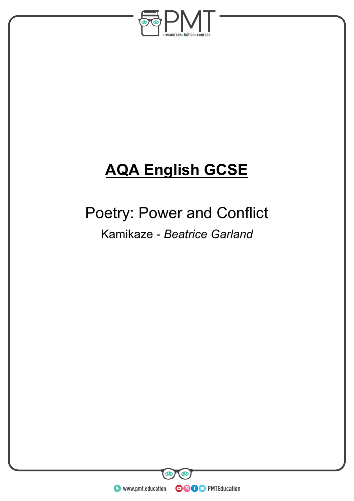

# **AQA English GCSE**

## Poetry: Power and Conflict Kamikaze - *Beatrice Garland*

**WWW.pmt.education** 

**OOOO** PMTEducation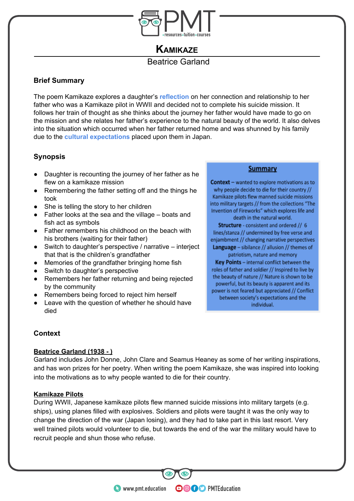

## **KAMIKAZE**

## Beatrice Garland

## **Brief Summary**

The poem Kamikaze explores a daughter's **reflection** on her connection and relationship to her father who was a Kamikaze pilot in WWII and decided not to complete his suicide mission. It follows her train of thought as she thinks about the journey her father would have made to go on the mission and she relates her father's experience to the natural beauty of the world. It also delves into the situation which occurred when her father returned home and was shunned by his family due to the **cultural expectations** placed upon them in Japan.

## **Synopsis**

- Daughter is recounting the journey of her father as he flew on a kamikaze mission
- Remembering the father setting off and the things he took
- She is telling the story to her children
- Father looks at the sea and the village boats and fish act as symbols
- Father remembers his childhood on the beach with his brothers (waiting for their father)
- Switch to daughter's perspective / narrative interject that that is the children's grandfather
- Memories of the grandfather bringing home fish
- Switch to daughter's perspective
- Remembers her father returning and being rejected by the community
- Remembers being forced to reject him herself
- Leave with the question of whether he should have died

#### **Summary**

Context - wanted to explore motivations as to why people decide to die for their country // Kamikaze pilots flew manned suicide missions into military targets // from the collections "The Invention of Fireworks" which explores life and

death in the natural world. Structure - consistent and ordered // 6 lines/stanza // undermined by free verse and enjambment // changing narrative perspectives Language - sibilance // allusion // themes of patriotism, nature and memory Key Points - internal conflict between the

roles of father and soldier // Inspired to live by the beauty of nature // Nature is shown to be powerful, but its beauty is apparent and its power is not feared but appreciated // Conflict between society's expectations and the

individual.

### **Context**

#### **Beatrice Garland (1938 - )**

Garland includes John Donne, John Clare and Seamus Heaney as some of her writing inspirations, and has won prizes for her poetry. When writing the poem Kamikaze, she was inspired into looking into the motivations as to why people wanted to die for their country.

#### **Kamikaze Pilots**

During WWII, Japanese kamikaze pilots flew manned suicide missions into military targets (e.g. ships), using planes filled with explosives. Soldiers and pilots were taught it was the only way to change the direction of the war (Japan losing), and they had to take part in this last resort. Very well trained pilots would volunteer to die, but towards the end of the war the military would have to recruit people and shun those who refuse.

**OOOO** PMTEducation

**C** www.pmt.education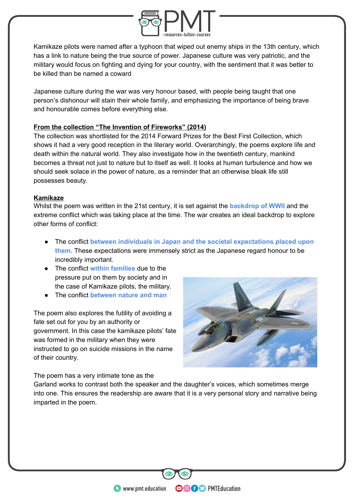

Kamikaze pilots were named after a typhoon that wiped out enemy ships in the 13th century, which has a link to nature being the true source of power. Japanese culture was very patriotic, and the military would focus on fighting and dying for your country, with the sentiment that it was better to be killed than be named a coward

Japanese culture during the war was very honour based, with people being taught that one person's dishonour will stain their whole family, and emphasizing the importance of being brave and honourable comes before everything else.

#### **From the collection "The Invention of Fireworks" (2014)**

The collection was shortlisted for the 2014 Forward Prizes for the Best First Collection, which shows it had a very good reception in the literary world. Overarchingly, the poems explore life and death within the natural world. They also investigate how in the twentieth century, mankind becomes a threat not just to nature but to itself as well. It looks at human turbulence and how we should seek solace in the power of nature, as a reminder that an otherwise bleak life still possesses beauty.

#### **Kamikaze**

Whilst the poem was written in the 21st century, it is set against the **backdrop of WWII** and the extreme conflict which was taking place at the time. The war creates an ideal backdrop to explore other forms of conflict:

- The conflict **between individuals in Japan and the societal expectations placed upon them**. These expectations were immensely strict as the Japanese regard honour to be incredibly important.
- The conflict **within families** due to the pressure put on them by society and in the case of Kamikaze pilots, the military.
- The conflict **between nature and man**

The poem also explores the futility of avoiding a fate set out for you by an authority or government. In this case the kamikaze pilots' fate was formed in the military when they were instructed to go on suicide missions in the name of their country.



The poem has a very intimate tone as the

Garland works to contrast both the speaker and the daughter's voices, which sometimes merge into one. This ensures the readership are aware that it is a very personal story and narrative being imparted in the poem.

**OOOO** PMTEducation

**WWW.pmt.education**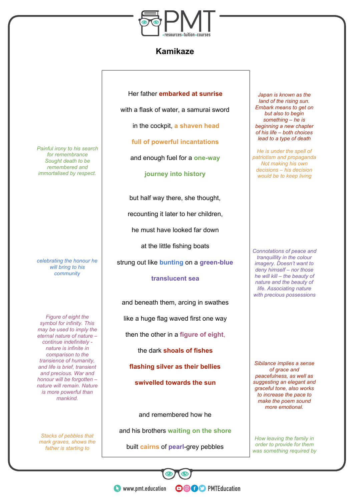

## **Kamikaze**

Her father **embarked at sunrise**

with a flask of water, a samurai sword

in the cockpit, **a shaven head**

**full of powerful incantations**

and enough fuel for a **one-way**

**journey into history**

but half way there, she thought,

recounting it later to her children,

he must have looked far down

at the little fishing boats

strung out like **bunting** on a **green-blue**

#### **translucent sea**

and beneath them, arcing in swathes

like a huge flag waved first one way

then the other in a **figure of eight**,

the dark **shoals of fishes**

**flashing silver as their bellies**

**swivelled towards the sun**

and remembered how he

and his brothers **waiting on the shore**

built **cairns** of **pearl**-grey pebbles

*Japan is known as the land of the rising sun. Embark means to get on but also to begin something – he is beginning a new chapter of his life – both choices lead to a type of death*

*He is under the spell of patriotism and propaganda Not making his own decisions – his decision would be to keep living*

*Connotations of peace and tranquillity in the colour imagery. Doesn't want to deny himself – nor those he will kill – the beauty of nature and the beauty of life. Associating nature with precious possessions*

*Sibilance implies a sense of grace and peacefulness, as well as suggesting an elegant and graceful tone, also works to increase the pace to make the poem sound more emotional.*

*How leaving the family in order to provide for them was something required by*

*Painful irony to his search for remembrance Sought death to be remembered and immortalised by respect.*

*celebrating the honour he will bring to his community*

*Figure of eight the symbol for infinity. This may be used to imply the eternal nature of nature – continue indefinitely nature is infinite in comparison to the transience of humanity, and life is brief, transient and precious. War and honour will be forgotten – nature will remain. Nature is more powerful than mankind.*

*Stacks of pebbles that mark graves, shows the father is starting to*

> **WWW.pmt.education OOOO** PMTEducation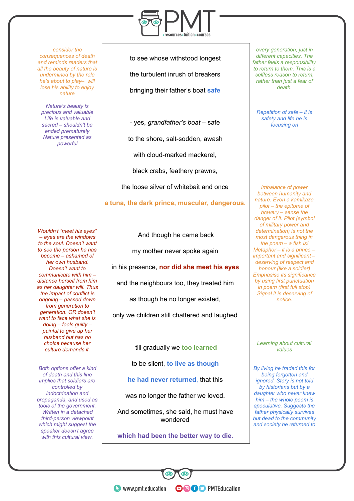*consider the consequences of death and reminds readers that all the beauty of nature is undermined by the role he's about to play– will lose his ability to enjoy nature*

*Nature's beauty is precious and valuable Life is valuable and sacred – shouldn't be ended prematurely Nature presented as powerful*

*Wouldn't "meet his eyes" – eyes are the windows to the soul. Doesn't want to see the person he has become – ashamed of her own husband. Doesn't want to communicate with him – distance herself from him as her daughter will. Thus the impact of conflict is ongoing – passed down from generation to generation. OR doesn't want to face what she is doing – feels guilty – painful to give up her husband but has no choice because her culture demands it.*

*Both options offer a kind of death and this line implies that soldiers are controlled by indoctrination and propaganda, and used as tools of the government. Written in a detached third-person viewpoint which might suggest the speaker doesn't agree with this cultural view.*



to see whose withstood longest the turbulent inrush of breakers bringing their father's boat **safe**

- yes, *grandfather's boat* – safe to the shore, salt-sodden, awash with cloud-marked mackerel, black crabs, feathery prawns, the loose silver of whitebait and once

**a tuna, the dark prince, muscular, dangerous.**

And though he came back

my mother never spoke again

in his presence, **nor did she meet his eyes**

and the neighbours too, they treated him

as though he no longer existed,

only we children still chattered and laughed

till gradually we **too learned**

to be silent, **to live as though**

**he had never returned**, that this

was no longer the father we loved.

And sometimes, she said, he must have wondered

**which had been the better way to die.**

**OOOO** PMTEducation

*every generation, just in different capacities. The father feels a responsibility to return to them. This is a selfless reason to return, rather than just a fear of death.*

*Repetition of safe – it is safety and life he is focusing on*

*Imbalance of power between humanity and nature. Even a kamikaze pilot – the epitome of bravery – sense the danger of it. Pilot (symbol of military power and determination) is not the most dangerous thing in the poem – a fish is! Metaphor – it is a prince – important and significant – deserving of respect and honour (like a soldier) Emphasise its significance by using first punctuation in poem (first full stop) Signal it is deserving of notice.*

*Learning about cultural values*

*By living he traded this for being forgotten and ignored. Story is not told by historians but by a daughter who never knew him – the whole poem is speculative. Suggests the father physically survives but dead to the community and society he returned to*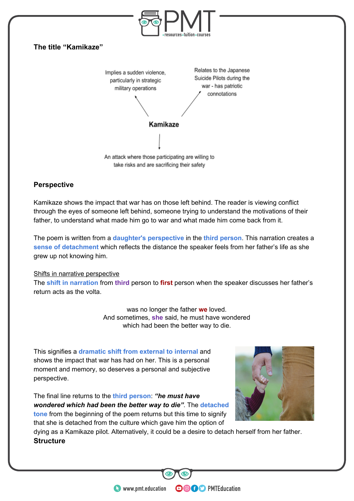

#### **Perspective**

Kamikaze shows the impact that war has on those left behind. The reader is viewing conflict through the eyes of someone left behind, someone trying to understand the motivations of their father, to understand what made him go to war and what made him come back from it.

The poem is written from a **daughter's perspective** in the **third person**. This narration creates a **sense of detachment** which reflects the distance the speaker feels from her father's life as she grew up not knowing him.

#### Shifts in narrative perspective

The **shift in narration** from **third** person to **first** person when the speaker discusses her father's return acts as the volta.

> was no longer the father **we** loved. And sometimes, **she** said, he must have wondered which had been the better way to die.

This signifies a **dramatic shift from external to internal** and shows the impact that war has had on her. This is a personal moment and memory, so deserves a personal and subjective perspective.

The final line returns to the **third person**: *"he must have wondered which had been the better way to die"*. The **detached tone** from the beginning of the poem returns but this time to signify that she is detached from the culture which gave him the option of



dying as a Kamikaze pilot. Alternatively, it could be a desire to detach herself from her father. **Structure**

**OOOO** PMTEducation

**C** www.pmt.education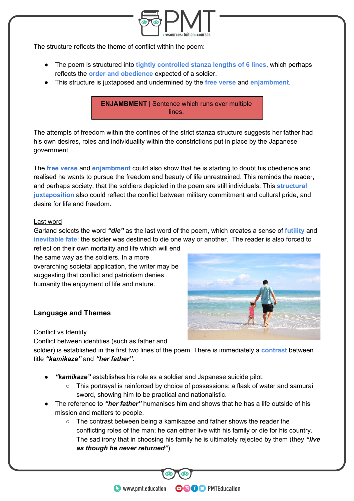

The structure reflects the theme of conflict within the poem:

- The poem is structured into **tightly controlled stanza lengths of 6 lines**, which perhaps reflects the **order and obedience** expected of a soldier.
- This structure is juxtaposed and undermined by the **free verse** and **enjambment**.

**ENJAMBMENT** | Sentence which runs over multiple lines.

The attempts of freedom within the confines of the strict stanza structure suggests her father had his own desires, roles and individuality within the constrictions put in place by the Japanese government.

The **free verse** and **enjambment** could also show that he is starting to doubt his obedience and realised he wants to pursue the freedom and beauty of life unrestrained. This reminds the reader, and perhaps society, that the soldiers depicted in the poem are still individuals. This **structural juxtaposition** also could reflect the conflict between military commitment and cultural pride, and desire for life and freedom.

#### Last word

Garland selects the word *"die"* as the last word of the poem, which creates a sense of **futility** and **inevitable fate**: the soldier was destined to die one way or another. The reader is also forced to reflect on their own mortality and life which will end

the same way as the soldiers. In a more overarching societal application, the writer may be suggesting that conflict and patriotism denies humanity the enjoyment of life and nature.

### **Language and Themes**

#### Conflict vs Identity

Conflict between identities (such as father and

soldier) is established in the first two lines of the poem. There is immediately a **contrast** between title *"kamikaze"* and *"her father".*

- *"kamikaze"* establishes his role as a soldier and Japanese suicide pilot.
	- This portrayal is reinforced by choice of possessions: a flask of water and samurai sword, showing him to be practical and nationalistic.
- The reference to *"her father"* humanises him and shows that he has a life outside of his mission and matters to people.
	- The contrast between being a kamikazee and father shows the reader the conflicting roles of the man; he can either live with his family or die for his country. The sad irony that in choosing his family he is ultimately rejected by them (they *"live as though he never returned"*)

**OOOO** PMTEducation

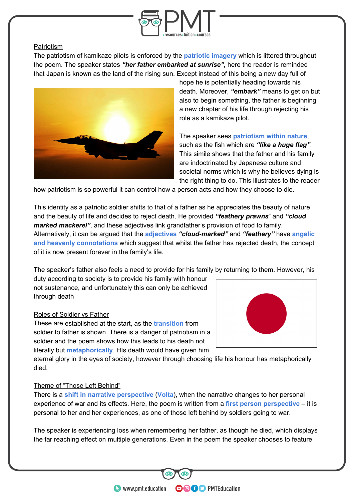

#### Patriotism

The patriotism of kamikaze pilots is enforced by the **patriotic imagery** which is littered throughout the poem. The speaker states *"her father embarked at sunrise",* here the reader is reminded that Japan is known as the land of the rising sun. Except instead of this being a new day full of



hope he is potentially heading towards his death. Moreover, *"embark"* means to get on but also to begin something, the father is beginning a new chapter of his life through rejecting his role as a kamikaze pilot.

The speaker sees **patriotism within nature**, such as the fish which are *"like a huge flag"*. This simile shows that the father and his family are indoctrinated by Japanese culture and societal norms which is why he believes dying is the right thing to do. This illustrates to the reader

how patriotism is so powerful it can control how a person acts and how they choose to die.

This identity as a patriotic soldier shifts to that of a father as he appreciates the beauty of nature and the beauty of life and decides to reject death. He provided *"feathery prawns*" and *"cloud marked mackerel"*, and these adjectives link grandfather's provision of food to family. Alternatively, it can be argued that the **adjectives** *"cloud-marked"* and *"feathery"* have **angelic and heavenly connotations** which suggest that whilst the father has rejected death, the concept of it is now present forever in the family's life.

The speaker's father also feels a need to provide for his family by returning to them. However, his

duty according to society is to provide his family with honour not sustenance, and unfortunately this can only be achieved through death

#### Roles of Soldier vs Father

These are established at the start, as the **transition** from soldier to father is shown. There is a danger of patriotism in a soldier and the poem shows how this leads to his death not literally but **metaphorically**. HIs death would have given him

eternal glory in the eyes of society, however through choosing life his honour has metaphorically died.

#### Theme of "Those Left Behind"

There is a **shift in narrative perspective** (**Volta**), when the narrative changes to her personal experience of war and its effects. Here, the poem is written from a **first person perspective** – it is personal to her and her experiences, as one of those left behind by soldiers going to war.

The speaker is experiencing loss when remembering her father, as though he died, which displays the far reaching effect on multiple generations. Even in the poem the speaker chooses to feature

**OOOO** PMTEducation



**C** www.pmt.education